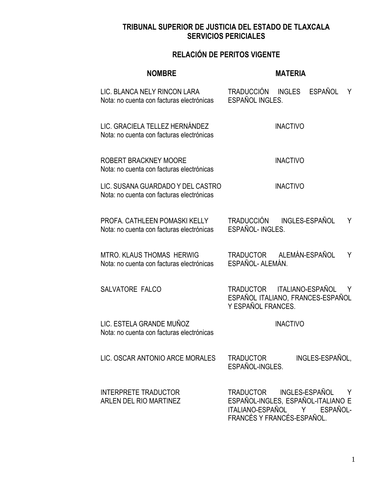| <b>NOMBRE</b>                                                                  | <b>MATERIA</b>                                                                                                                              |
|--------------------------------------------------------------------------------|---------------------------------------------------------------------------------------------------------------------------------------------|
| LIC. BLANCA NELY RINCON LARA<br>Nota: no cuenta con facturas electrónicas      | TRADUCCIÓN INGLES ESPAÑOL<br>Y<br>ESPAÑOL INGLES.                                                                                           |
| LIC. GRACIELA TELLEZ HERNÁNDEZ<br>Nota: no cuenta con facturas electrónicas    | <b>INACTIVO</b>                                                                                                                             |
| ROBERT BRACKNEY MOORE<br>Nota: no cuenta con facturas electrónicas             | <b>INACTIVO</b>                                                                                                                             |
| LIC. SUSANA GUARDADO Y DEL CASTRO<br>Nota: no cuenta con facturas electrónicas | <b>INACTIVO</b>                                                                                                                             |
| PROFA, CATHLEEN POMASKI KELLY<br>Nota: no cuenta con facturas electrónicas     | TRADUCCIÓN INGLES-ESPAÑOL<br>Y<br>ESPAÑOL-INGLES.                                                                                           |
| <b>MTRO, KLAUS THOMAS HERWIG</b><br>Nota: no cuenta con facturas electrónicas  | TRADUCTOR ALEMÁN-ESPAÑOL<br>Y<br>ESPAÑOL- ALEMÁN.                                                                                           |
| SALVATORE FALCO                                                                | TRADUCTOR ITALIANO-ESPAÑOL<br>Y<br>ESPAÑOL ITALIANO, FRANCES-ESPAÑOL<br>Y ESPAÑOL FRANCES.                                                  |
| LIC. ESTELA GRANDE MUÑOZ<br>Nota: no cuenta con facturas electrónicas          | <b>INACTIVO</b>                                                                                                                             |
| LIC. OSCAR ANTONIO ARCE MORALES                                                | INGLES-ESPAÑOL,<br>TRADUCTOR<br>ESPAÑOL-INGLES.                                                                                             |
| <b>INTERPRETE TRADUCTOR</b><br>ARLEN DEL RIO MARTINEZ                          | INGLES-ESPAÑOL<br>TRADUCTOR<br>Y<br>ESPAÑOL-INGLES, ESPAÑOL-ITALIANO E<br>ITALIANO-ESPAÑOL<br>Y N<br>ESPAÑOL-<br>FRANCÉS Y FRANCÉS-ESPAÑOL. |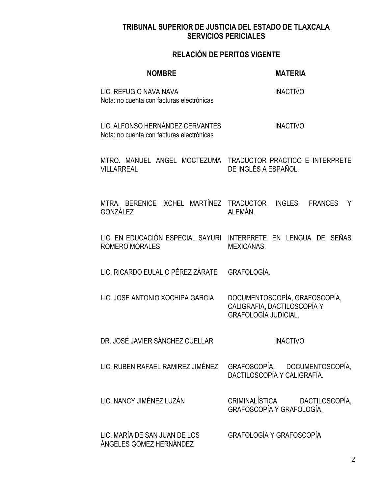| <b>NOMBRE</b>                                                                 | <b>MATERIA</b>                                                                                 |
|-------------------------------------------------------------------------------|------------------------------------------------------------------------------------------------|
| LIC. REFUGIO NAVA NAVA<br>Nota: no cuenta con facturas electrónicas           | <b>INACTIVO</b>                                                                                |
| LIC. ALFONSO HERNÁNDEZ CERVANTES<br>Nota: no cuenta con facturas electrónicas | <b>INACTIVO</b>                                                                                |
| <b>VILLARREAL</b>                                                             | MTRO. MANUEL ANGEL MOCTEZUMA TRADUCTOR PRACTICO E INTERPRETE<br>DE INGLÉS A ESPAÑOL.           |
| GONZÁLEZ                                                                      | MTRA. BERENICE IXCHEL MARTÍNEZ TRADUCTOR INGLES, FRANCES Y<br>ALEMÁN.                          |
| <b>ROMERO MORALES</b>                                                         | LIC. EN EDUCACIÓN ESPECIAL SAYURI INTERPRETE EN LENGUA DE SEÑAS<br><b>MEXICANAS.</b>           |
| LIC. RICARDO EULALIO PÉREZ ZÁRATE GRAFOLOGÍA.                                 |                                                                                                |
| LIC. JOSE ANTONIO XOCHIPA GARCIA                                              | DOCUMENTOSCOPÍA, GRAFOSCOPÍA,<br>CALIGRAFIA, DACTILOSCOPÍA Y<br><b>GRAFOLOGÍA JUDICIAL.</b>    |
| DR. JOSÉ JAVIER SÁNCHEZ CUELLAR                                               | <b>INACTIVO</b>                                                                                |
|                                                                               | LIC. RUBEN RAFAEL RAMIREZ JIMÉNEZ GRAFOSCOPÍA, DOCUMENTOSCOPÍA,<br>DACTILOSCOPÍA Y CALIGRAFÍA. |
| LIC. NANCY JIMÉNEZ LUZÁN                                                      | CRIMINALÍSTICA, DACTILOSCOPÍA,<br>GRAFOSCOPÍA Y GRAFOLOGÍA.                                    |
| LIC. MARÍA DE SAN JUAN DE LOS<br>ÁNGELES GOMEZ HERNÁNDEZ                      | GRAFOLOGÍA Y GRAFOSCOPÍA                                                                       |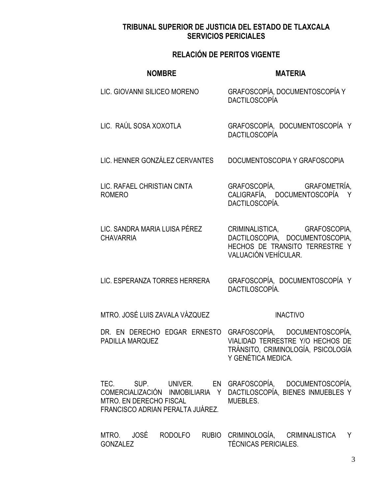# **RELACIÓN DE PERITOS VIGENTE**

| <b>NOMBRE</b>                                               | <b>MATERIA</b>                                                                                                                                             |
|-------------------------------------------------------------|------------------------------------------------------------------------------------------------------------------------------------------------------------|
| LIC. GIOVANNI SILICEO MORENO                                | GRAFOSCOPÍA, DOCUMENTOSCOPÍA Y<br><b>DACTILOSCOPÍA</b>                                                                                                     |
| LIC. RAÚL SOSA XOXOTLA                                      | GRAFOSCOPÍA, DOCUMENTOSCOPÍA Y<br><b>DACTILOSCOPÍA</b>                                                                                                     |
| LIC. HENNER GONZÁLEZ CERVANTES                              | DOCUMENTOSCOPIA Y GRAFOSCOPIA                                                                                                                              |
| LIC. RAFAEL CHRISTIAN CINTA<br><b>ROMERO</b>                | GRAFOSCOPÍA, GRAFOMETRÍA,<br>CALIGRAFÍA, DOCUMENTOSCOPÍA<br>Y<br>DACTILOSCOPÍA.                                                                            |
| LIC. SANDRA MARIA LUISA PÉREZ<br><b>CHAVARRIA</b>           | CRIMINALISTICA, GRAFOSCOPIA,<br>DACTILOSCOPIA, DOCUMENTOSCOPIA,<br>HECHOS DE TRANSITO TERRESTRE Y<br>VALUACIÓN VEHÍCULAR.                                  |
| LIC. ESPERANZA TORRES HERRERA                               | GRAFOSCOPÍA, DOCUMENTOSCOPÍA Y<br>DACTILOSCOPÍA.                                                                                                           |
| MTRO. JOSÉ LUIS ZAVALA VÁZQUEZ                              | <b>INACTIVO</b>                                                                                                                                            |
| PADILLA MARQUEZ                                             | DR. EN DERECHO EDGAR ERNESTO GRAFOSCOPÍA, DOCUMENTOSCOPÍA,<br>VIALIDAD TERRESTRE Y/O HECHOS DE<br>TRÁNSITO, CRIMINOLOGÍA, PSICOLOGÍA<br>Y GENÉTICA MEDICA. |
| MTRO. EN DERECHO FISCAL<br>FRANCISCO ADRIAN PERALTA JUÁREZ. | TEC. SUP. UNIVER. EN GRAFOSCOPÍA, DOCUMENTOSCOPÍA,<br>COMERCIALIZACIÓN INMOBILIARIA Y DACTILOSCOPÍA, BIENES INMUEBLES Y<br>MUEBLES.                        |
|                                                             | MTRO. JOSÉ RODOLFO RUBIO CRIMINOLOGÍA, CRIMINALISTICA Y                                                                                                    |

TÉCNICAS PERICIALES.

GONZALEZ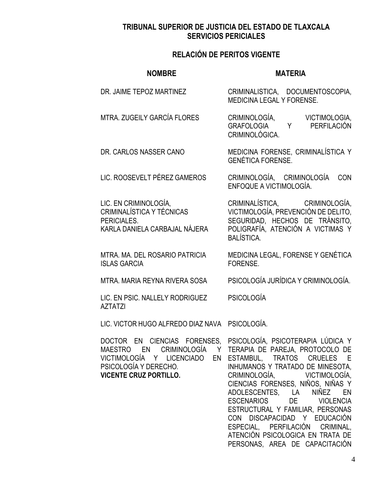### **RELACIÓN DE PERITOS VIGENTE**

#### **NOMBRE MATERIA** DR. JAIME TEPOZ MARTINEZ CRIMINALISTICA, DOCUMENTOSCOPIA, MEDICINA LEGAL Y FORENSE. MTRA. ZUGEILY GARCÍA FLORES CRIMINOLOGÍA, VICTIMOLOGIA, GRAFOLOGIA Y PERFILACIÓN CRIMINOLÓGICA. DR. CARLOS NASSER CANO MEDICINA FORENSE, CRIMINALÍSTICA Y GENÉTICA FORENSE. LIC. ROOSEVELT PÉREZ GAMEROS CRIMINOLOGÍA, CRIMINOLOGÍA CON ENFOQUE A VICTIMOLOGÍA. LIC. EN CRIMINOLOGÍA, CRIMINALÍSTICA Y TÉCNICAS PERICIALES. KARLA DANIELA CARBAJAL NÁJERA CRIMINALÍSTICA, CRIMINOLOGÍA, VICTIMOLOGÍA, PREVENCIÓN DE DELITO, SEGURIDAD, HECHOS DE TRÁNSITO, POLIGRAFÍA, ATENCIÓN A VICTIMAS Y BALÍSTICA. MTRA. MA. DEL ROSARIO PATRICIA ISLAS GARCIA MEDICINA LEGAL, FORENSE Y GENÉTICA FORENSE. MTRA. MARIA REYNA RIVERA SOSA PSICOLOGÍA JURÍDICA Y CRIMINOLOGÍA. LIC. EN PSIC. NALLELY RODRIGUEZ PSICOLOGÍA

LIC. VICTOR HUGO ALFREDO DIAZ NAVA PSICOLOGÍA.

MAESTRO EN CRIMINOLOGÍA PSICOLOGÍA Y DERECHO. **VICENTE CRUZ PORTILLO.**

AZTATZI

DOCTOR EN CIENCIAS FORENSES, PSICOLOGÍA, PSICOTERAPIA LÚDICA Y VICTIMOLOGÍA Y LICENCIADO EN ESTAMBUL, TRATOS CRUELES E Y TERAPIA DE PAREJA, PROTOCOLO DE INHUMANOS Y TRATADO DE MINESOTA, CRIMINOLOGÍA, VICTIMOLOGÍA, CIENCIAS FORENSES, NIÑOS, NIÑAS Y ADOLESCENTES, LA NIÑEZ EN ESCENARIOS DE VIOLENCIA ESTRUCTURAL Y FAMILIAR, PERSONAS CON DISCAPACIDAD Y EDUCACIÓN ESPECIAL, PERFILACIÓN CRIMINAL, ATENCIÓN PSICOLOGICA EN TRATA DE PERSONAS, AREA DE CAPACITACIÓN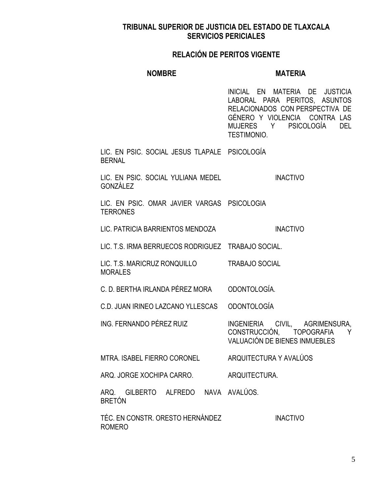#### **RELACIÓN DE PERITOS VIGENTE**

#### **NOMBRE MATERIA**

INICIAL EN MATERIA DE JUSTICIA LABORAL PARA PERITOS, ASUNTOS RELACIONADOS CON PERSPECTIVA DE GÉNERO Y VIOLENCIA CONTRA LAS MUJERES Y PSICOLOGÍA DEL TESTIMONIO.

LIC. EN PSIC. SOCIAL JESUS TLAPALE PSICOLOGÍA BERNAL

LIC. EN PSIC. SOCIAL YULIANA MEDEL GONZÁLEZ INACTIVO

LIC. EN PSIC. OMAR JAVIER VARGAS PSICOLOGIA TERRONES

LIC. PATRICIA BARRIENTOS MENDOZA INACTIVO

LIC. T.S. IRMA BERRUECOS RODRIGUEZ TRABAJO SOCIAL.

LIC. T.S. MARICRUZ RONQUILLO MORALES TRABAJO SOCIAL

C. D. BERTHA IRLANDA PÉREZ MORA ODONTOLOGÍA.

C.D. JUAN IRINEO LAZCANO YLLESCAS ODONTOLOGÍA

ING. FERNANDO PÉREZ RUIZ INGENIERIA CIVIL, AGRIMENSURA, CONSTRUCCIÓN, TOPOGRAFIA Y VALUACIÓN DE BIENES INMUEBLES

MTRA. ISABEL FIERRO CORONEL ARQUITECTURA Y AVALÚOS

ARQ. JORGE XOCHIPA CARRO. ARQUITECTURA.

ARQ. GILBERTO ALFREDO NAVA AVALÚOS. BRETÓN

TÉC. EN CONSTR. ORESTO HERNÁNDEZ ROMERO INACTIVO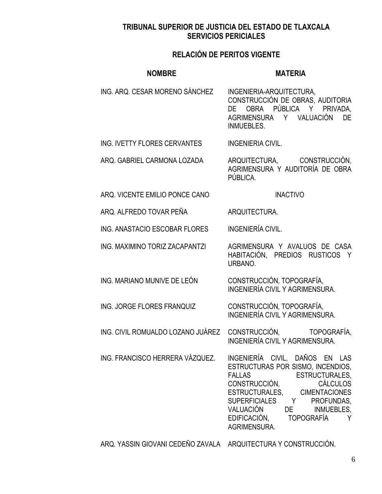# **RELACIÓN DE PERITOS VIGENTE**

| <b>NOMBRE</b>                     | <b>MATERIA</b>                                                                                                                                                                                                                                                                                                          |
|-----------------------------------|-------------------------------------------------------------------------------------------------------------------------------------------------------------------------------------------------------------------------------------------------------------------------------------------------------------------------|
| ING. ARQ. CESAR MORENO SÁNCHEZ    | INGENIERIA-ARQUITECTURA,<br>CONSTRUCCIÓN DE OBRAS, AUDITORIA<br>DE OBRA PÚBLICA Y PRIVADA,<br>AGRIMENSURA Y VALUACIÓN<br>DE<br><b>INMUEBLES.</b>                                                                                                                                                                        |
| ING. IVETTY FLORES CERVANTES      | <b>INGENIERIA CIVIL.</b>                                                                                                                                                                                                                                                                                                |
| ARQ. GABRIEL CARMONA LOZADA       | ARQUITECTURA, CONSTRUCCIÓN,<br>AGRIMENSURA Y AUDITORÍA DE OBRA<br>PÚBLICA.                                                                                                                                                                                                                                              |
| ARQ. VICENTE EMILIO PONCE CANO    | <b>INACTIVO</b>                                                                                                                                                                                                                                                                                                         |
| ARQ. ALFREDO TOVAR PEÑA           | ARQUITECTURA.                                                                                                                                                                                                                                                                                                           |
| ING. ANASTACIO ESCOBAR FLORES     | <b>INGENIERÍA CIVIL.</b>                                                                                                                                                                                                                                                                                                |
| ING. MAXIMINO TORIZ ZACAPANTZI    | AGRIMENSURA Y AVALUOS DE CASA<br>HABITACIÓN, PREDIOS RUSTICOS Y<br>URBANO.                                                                                                                                                                                                                                              |
| ING. MARIANO MUNIVE DE LEÓN       | CONSTRUCCIÓN, TOPOGRAFÍA,<br>INGENIERÍA CIVIL Y AGRIMENSURA.                                                                                                                                                                                                                                                            |
| ING. JORGE FLORES FRANQUIZ        | CONSTRUCCIÓN, TOPOGRAFÍA,<br>INGENIERÍA CIVIL Y AGRIMENSURA.                                                                                                                                                                                                                                                            |
| ING. CIVIL ROMUALDO LOZANO JUÁREZ | CONSTRUCCIÓN, TOPOGRAFÍA,<br><b>INGENIERÍA CIVIL Y AGRIMENSURA.</b>                                                                                                                                                                                                                                                     |
| ING. FRANCISCO HERRERA VÁZQUEZ.   | INGENIERÍA CIVIL, DAÑOS EN LAS<br>ESTRUCTURAS POR SISMO, INCENDIOS,<br><b>FALLAS</b><br><b>ESTRUCTURALES,</b><br>CONSTRUCCIÓN,<br><b>CÁLCULOS</b><br>ESTRUCTURALES, CIMENTACIONES<br>SUPERFICIALES Y<br>PROFUNDAS,<br>VALUACIÓN<br>INMUEBLES,<br>DE <b>DE</b><br>EDIFICACIÓN,<br><b>TOPOGRAFÍA</b><br>Υ<br>AGRIMENSURA. |

ARQ. YASSIN GIOVANI CEDEÑO ZAVALA ARQUITECTURA Y CONSTRUCCIÓN.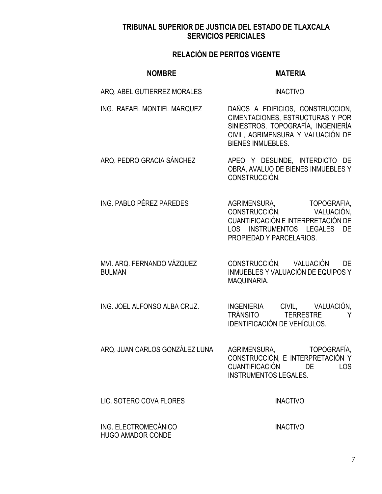| <b>NOMBRE</b>                                    | <b>MATERIA</b>                                                                                                                                                               |
|--------------------------------------------------|------------------------------------------------------------------------------------------------------------------------------------------------------------------------------|
| ARQ. ABEL GUTIERREZ MORALES                      | <b>INACTIVO</b>                                                                                                                                                              |
| ING. RAFAEL MONTIEL MARQUEZ                      | DAÑOS A EDIFICIOS, CONSTRUCCION,<br>CIMENTACIONES, ESTRUCTURAS Y POR<br>SINIESTROS, TOPOGRAFÍA, INGENIERÍA<br>CIVIL, AGRIMENSURA Y VALUACIÓN DE<br><b>BIENES INMUEBLES.</b>  |
| ARQ. PEDRO GRACIA SÁNCHEZ                        | APEO Y DESLINDE, INTERDICTO DE<br>OBRA, AVALUO DE BIENES INMUEBLES Y<br>CONSTRUCCIÓN.                                                                                        |
| ING. PABLO PÉREZ PAREDES                         | AGRIMENSURA, TOPOGRAFIA,<br>CONSTRUCCIÓN, VALUACIÓN,<br>CUANTIFICACIÓN E INTERPRETACIÓN DE<br>LOS<br><b>INSTRUMENTOS</b><br>DE<br><b>LEGALES</b><br>PROPIEDAD Y PARCELARIOS. |
| MVI. ARQ. FERNANDO VÁZQUEZ<br><b>BULMAN</b>      | CONSTRUCCIÓN, VALUACIÓN<br>DE<br>INMUEBLES Y VALUACIÓN DE EQUIPOS Y<br>MAQUINARIA.                                                                                           |
| ING. JOEL ALFONSO ALBA CRUZ.                     | INGENIERIA CIVIL, VALUACIÓN,<br>TRÁNSITO TERRESTRE<br>Y<br>IDENTIFICACIÓN DE VEHÍCULOS.                                                                                      |
| ARQ. JUAN CARLOS GONZÁLEZ LUNA                   | TOPOGRAFÍA,<br>AGRIMENSURA,<br>CONSTRUCCIÓN, E INTERPRETACIÓN Y<br>CUANTIFICACIÓN<br>DE<br><b>LOS</b><br><b>INSTRUMENTOS LEGALES.</b>                                        |
| LIC. SOTERO COVA FLORES                          | <b>INACTIVO</b>                                                                                                                                                              |
| ING. ELECTROMECÁNICO<br><b>HUGO AMADOR CONDE</b> | <b>INACTIVO</b>                                                                                                                                                              |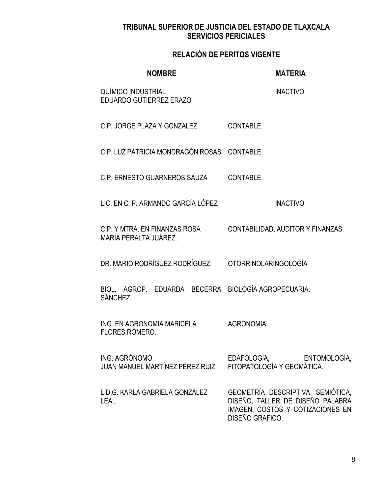| <b>NOMBRE</b>                                                   | <b>MATERIA</b>                                                                                                               |
|-----------------------------------------------------------------|------------------------------------------------------------------------------------------------------------------------------|
| QUÍMICO INDUSTRIAL<br><b>EDUARDO GUTIERREZ ERAZO</b>            | <b>INACTIVO</b>                                                                                                              |
| C.P. JORGE PLAZA Y GONZALEZ                                     | CONTABLE.                                                                                                                    |
| C.P. LUZ PATRICIA MONDRAGÓN ROSAS CONTABLE.                     |                                                                                                                              |
| C.P. ERNESTO GUARNEROS SAUZA                                    | CONTABLE.                                                                                                                    |
| LIC. EN C. P. ARMANDO GARCÍA LÓPEZ                              | <b>INACTIVO</b>                                                                                                              |
| C.P. Y MTRA. EN FINANZAS ROSA<br>MARÍA PERALTA JUÁREZ.          | CONTABILIDAD, AUDITOR Y FINANZAS.                                                                                            |
| DR. MARIO RODRÍGUEZ RODRÍGUEZ.                                  | OTORRINOLARINGOLOGÍA                                                                                                         |
| BIOL. AGROP. EDUARDA BECERRA BIOLOGÍA AGROPECUARIA.<br>SÁNCHEZ. |                                                                                                                              |
| ING. EN AGRONOMIA MARICELA<br><b>FLORES ROMERO.</b>             | <b>AGRONOMIA</b>                                                                                                             |
| ING. AGRÓNOMO<br>JUAN MANUEL MARTÍNEZ PÉREZ RUIZ                | EDAFOLOGÍA, ENTOMOLOGÍA,<br>FITOPATOLOGÍA Y GEOMÁTICA.                                                                       |
| L.D.G. KARLA GABRIELA GONZÁLEZ<br><b>LEAL</b>                   | GEOMETRÍA DESCRIPTIVA, SEMIÓTICA,<br>DISEÑO, TALLER DE DISEÑO PALABRA<br>IMAGEN, COSTOS Y COTIZACIONES EN<br>DISEÑO GRAFICO. |